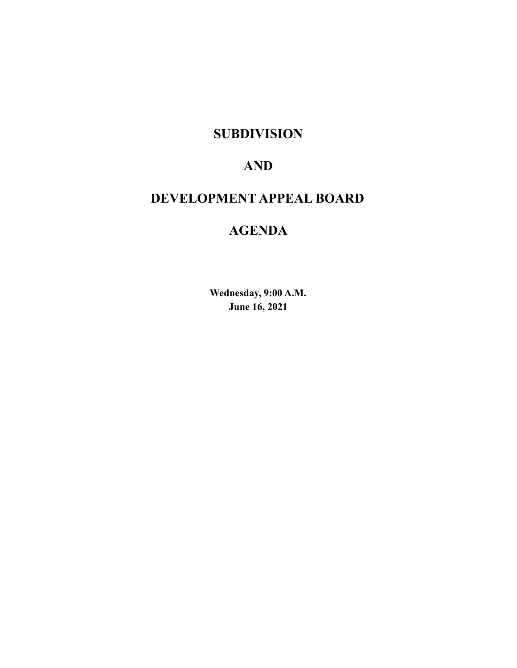# **SUBDIVISION**

# **AND**

# **DEVELOPMENT APPEAL BOARD**

# **AGENDA**

**Wednesday, 9:00 A.M. June 16, 2021**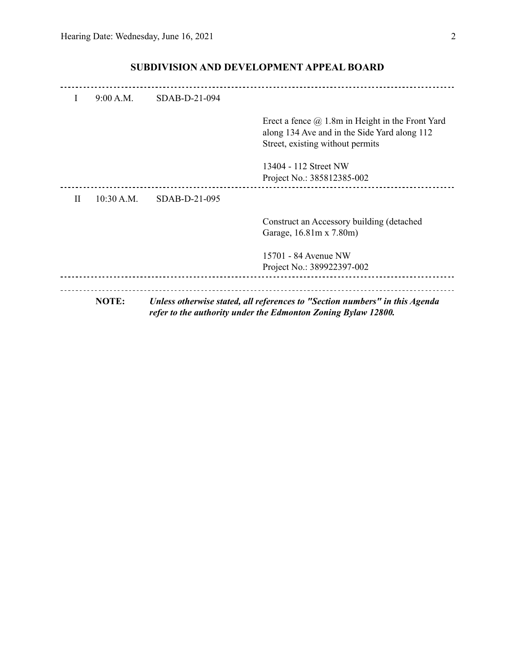| L | 9:00 A.M.    | SDAB-D-21-094 |                                                                                                                                              |
|---|--------------|---------------|----------------------------------------------------------------------------------------------------------------------------------------------|
|   |              |               | Erect a fence $\omega$ 1.8m in Height in the Front Yard<br>along 134 Ave and in the Side Yard along 112<br>Street, existing without permits  |
|   |              |               | 13404 - 112 Street NW<br>Project No.: 385812385-002                                                                                          |
| H | 10:30 A.M.   | SDAB-D-21-095 |                                                                                                                                              |
|   |              |               | Construct an Accessory building (detached<br>Garage, 16.81m x 7.80m)                                                                         |
|   |              |               | 15701 - 84 Avenue NW<br>Project No.: 389922397-002                                                                                           |
|   | <b>NOTE:</b> |               | Unless otherwise stated, all references to "Section numbers" in this Agenda<br>refer to the authority under the Edmonton Zoning Bylaw 12800. |

## **SUBDIVISION AND DEVELOPMENT APPEAL BOARD**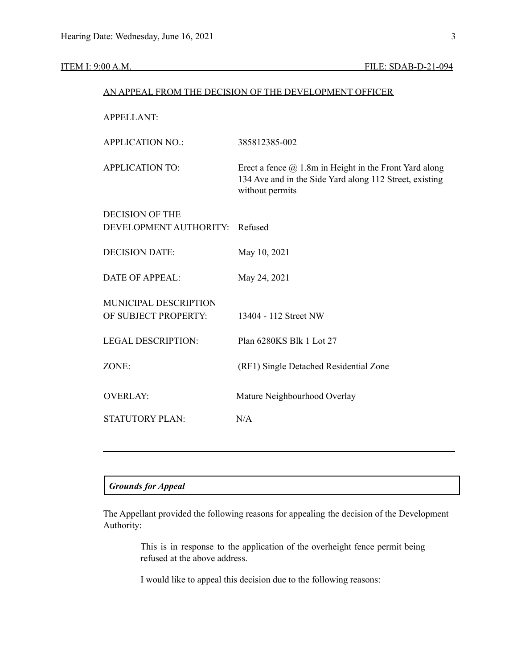| AN APPEAL FROM THE DECISION OF THE DEVELOPMENT OFFICER |                                                                                                                                             |  |  |
|--------------------------------------------------------|---------------------------------------------------------------------------------------------------------------------------------------------|--|--|
| <b>APPELLANT:</b>                                      |                                                                                                                                             |  |  |
| <b>APPLICATION NO.:</b>                                | 385812385-002                                                                                                                               |  |  |
| <b>APPLICATION TO:</b>                                 | Erect a fence $\omega$ 1.8m in Height in the Front Yard along<br>134 Ave and in the Side Yard along 112 Street, existing<br>without permits |  |  |
| <b>DECISION OF THE</b>                                 |                                                                                                                                             |  |  |
| DEVELOPMENT AUTHORITY:                                 | Refused                                                                                                                                     |  |  |
| <b>DECISION DATE:</b>                                  | May 10, 2021                                                                                                                                |  |  |
| <b>DATE OF APPEAL:</b>                                 | May 24, 2021                                                                                                                                |  |  |
| MUNICIPAL DESCRIPTION                                  |                                                                                                                                             |  |  |
| OF SUBJECT PROPERTY:                                   | 13404 - 112 Street NW                                                                                                                       |  |  |
| <b>LEGAL DESCRIPTION:</b>                              | Plan 6280KS Blk 1 Lot 27                                                                                                                    |  |  |
| ZONE:                                                  | (RF1) Single Detached Residential Zone                                                                                                      |  |  |
| <b>OVERLAY:</b>                                        | Mature Neighbourhood Overlay                                                                                                                |  |  |
| <b>STATUTORY PLAN:</b>                                 | N/A                                                                                                                                         |  |  |
|                                                        |                                                                                                                                             |  |  |

### *Grounds for Appeal*

The Appellant provided the following reasons for appealing the decision of the Development Authority:

> This is in response to the application of the overheight fence permit being refused at the above address.

I would like to appeal this decision due to the following reasons: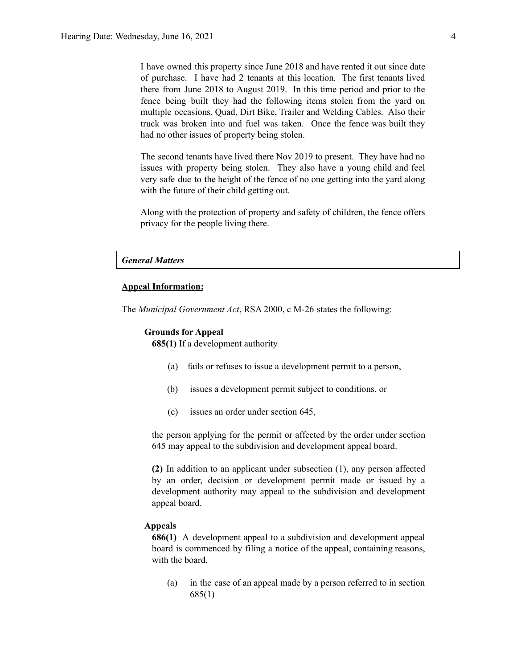I have owned this property since June 2018 and have rented it out since date of purchase. I have had 2 tenants at this location. The first tenants lived there from June 2018 to August 2019. In this time period and prior to the fence being built they had the following items stolen from the yard on multiple occasions, Quad, Dirt Bike, Trailer and Welding Cables. Also their truck was broken into and fuel was taken. Once the fence was built they had no other issues of property being stolen.

The second tenants have lived there Nov 2019 to present. They have had no issues with property being stolen. They also have a young child and feel very safe due to the height of the fence of no one getting into the yard along with the future of their child getting out.

Along with the protection of property and safety of children, the fence offers privacy for the people living there.

### *General Matters*

### **Appeal Information:**

The *Municipal Government Act*, RSA 2000, c M-26 states the following:

### **Grounds for Appeal**

**685(1)** If a development authority

- (a) fails or refuses to issue a development permit to a person,
- (b) issues a development permit subject to conditions, or
- (c) issues an order under section 645,

the person applying for the permit or affected by the order under section 645 may appeal to the subdivision and development appeal board.

**(2)** In addition to an applicant under subsection (1), any person affected by an order, decision or development permit made or issued by a development authority may appeal to the subdivision and development appeal board.

### **Appeals**

**686(1)** A development appeal to a subdivision and development appeal board is commenced by filing a notice of the appeal, containing reasons, with the board,

(a) in the case of an appeal made by a person referred to in section 685(1)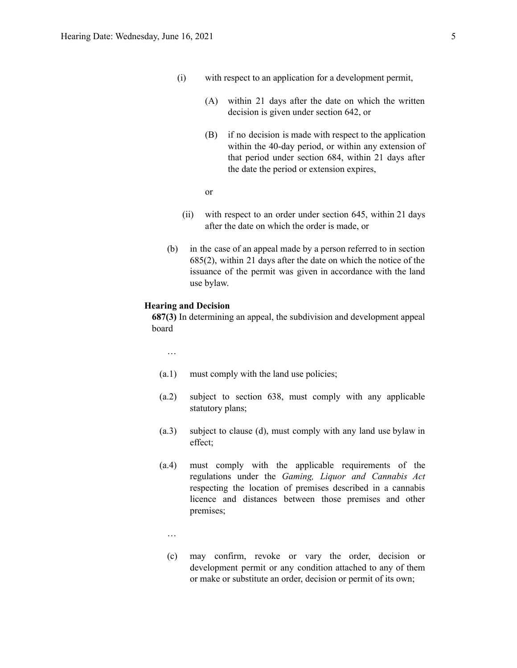- (i) with respect to an application for a development permit,
	- (A) within 21 days after the date on which the written decision is given under section 642, or
	- (B) if no decision is made with respect to the application within the 40-day period, or within any extension of that period under section 684, within 21 days after the date the period or extension expires,
	- or
- (ii) with respect to an order under section 645, within 21 days after the date on which the order is made, or
- (b) in the case of an appeal made by a person referred to in section 685(2), within 21 days after the date on which the notice of the issuance of the permit was given in accordance with the land use bylaw.

### **Hearing and Decision**

**687(3)** In determining an appeal, the subdivision and development appeal board

…

- (a.1) must comply with the land use policies;
- (a.2) subject to section 638, must comply with any applicable statutory plans;
- (a.3) subject to clause (d), must comply with any land use bylaw in effect;
- (a.4) must comply with the applicable requirements of the regulations under the *Gaming, Liquor and Cannabis Act* respecting the location of premises described in a cannabis licence and distances between those premises and other premises;
	- …
	- (c) may confirm, revoke or vary the order, decision or development permit or any condition attached to any of them or make or substitute an order, decision or permit of its own;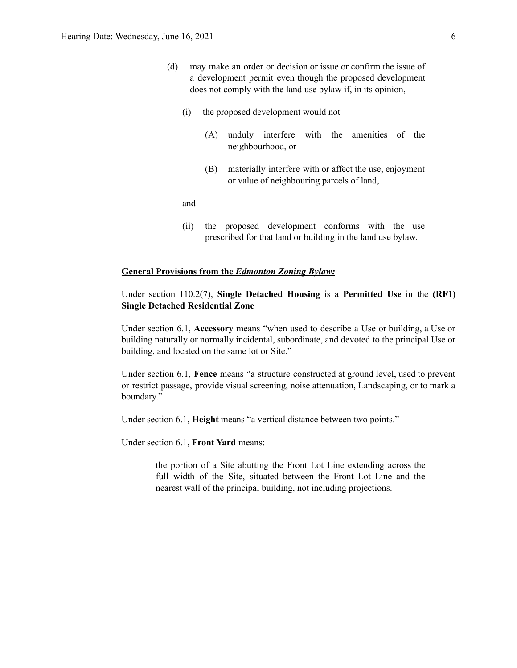- (d) may make an order or decision or issue or confirm the issue of a development permit even though the proposed development does not comply with the land use bylaw if, in its opinion,
	- (i) the proposed development would not
		- (A) unduly interfere with the amenities of the neighbourhood, or
		- (B) materially interfere with or affect the use, enjoyment or value of neighbouring parcels of land,

and

(ii) the proposed development conforms with the use prescribed for that land or building in the land use bylaw.

### **General Provisions from the** *Edmonton Zoning Bylaw:*

Under section 110.2(7), **Single Detached Housing** is a **Permitted Use** in the **(RF1) Single Detached Residential Zone**

Under section 6.1, **Accessory** means "when used to describe a Use or building, a Use or building naturally or normally incidental, subordinate, and devoted to the principal Use or building, and located on the same lot or Site."

Under section 6.1, **Fence** means "a structure constructed at ground level, used to prevent or restrict passage, provide visual screening, noise attenuation, Landscaping, or to mark a boundary."

Under section 6.1, **Height** means "a vertical distance between two points."

Under section 6.1, **Front Yard** means:

the portion of a Site abutting the Front Lot Line extending across the full width of the Site, situated between the Front Lot Line and the nearest wall of the principal building, not including projections.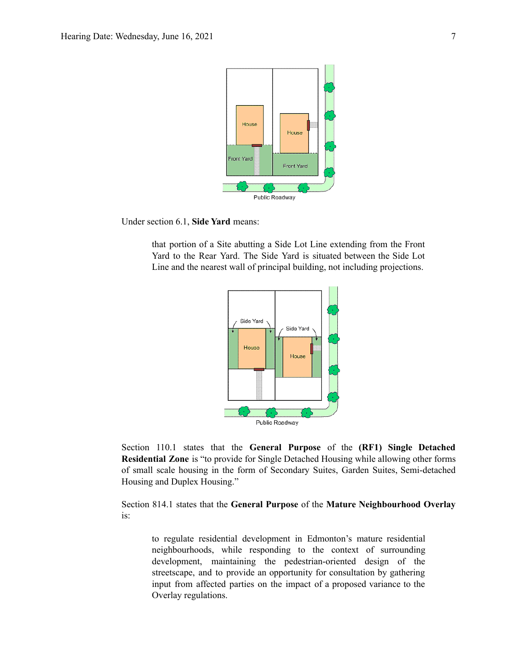

Under section 6.1, **Side Yard** means:

that portion of a Site abutting a Side Lot Line extending from the Front Yard to the Rear Yard. The Side Yard is situated between the Side Lot Line and the nearest wall of principal building, not including projections.



Section 110.1 states that the **General Purpose** of the **(RF1) Single Detached Residential Zone** is "to provide for Single Detached Housing while allowing other forms of small scale housing in the form of Secondary Suites, Garden Suites, Semi-detached Housing and Duplex Housing."

Section 814.1 states that the **General Purpose** of the **Mature Neighbourhood Overlay** is:

to regulate residential development in Edmonton's mature residential neighbourhoods, while responding to the context of surrounding development, maintaining the pedestrian-oriented design of the streetscape, and to provide an opportunity for consultation by gathering input from affected parties on the impact of a proposed variance to the Overlay regulations.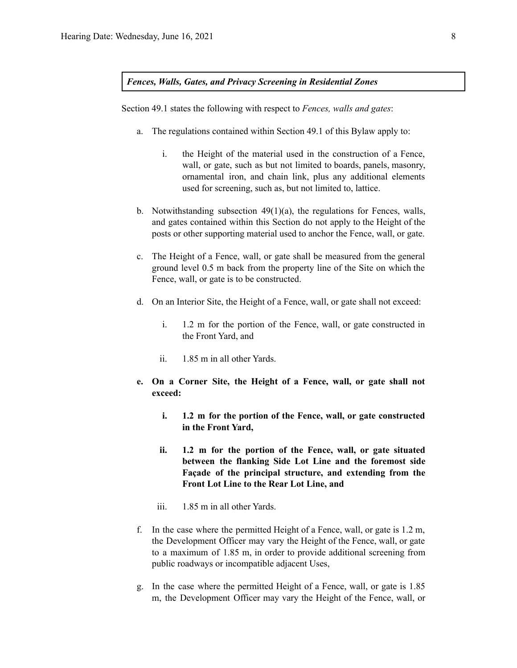### *Fences, Walls, Gates, and Privacy Screening in Residential Zones*

Section 49.1 states the following with respect to *Fences, walls and gates*:

- a. The regulations contained within Section 49.1 of this Bylaw apply to:
	- i. the Height of the material used in the construction of a Fence, wall, or gate, such as but not limited to boards, panels, masonry, ornamental iron, and chain link, plus any additional elements used for screening, such as, but not limited to, lattice.
- b. Notwithstanding subsection 49(1)(a), the regulations for Fences, walls, and gates contained within this Section do not apply to the Height of the posts or other supporting material used to anchor the Fence, wall, or gate.
- c. The Height of a Fence, wall, or gate shall be measured from the general ground level 0.5 m back from the property line of the Site on which the Fence, wall, or gate is to be constructed.
- d. On an Interior Site, the Height of a Fence, wall, or gate shall not exceed:
	- i. 1.2 m for the portion of the Fence, wall, or gate constructed in the Front Yard, and
	- ii. 1.85 m in all other Yards.
- **e. On a Corner Site, the Height of a Fence, wall, or gate shall not exceed:**
	- **i. 1.2 m for the portion of the Fence, wall, or gate constructed in the Front Yard,**
	- **ii. 1.2 m for the portion of the Fence, wall, or gate situated between the flanking Side Lot Line and the foremost side Façade of the principal structure, and extending from the Front Lot Line to the Rear Lot Line, and**
	- iii. 1.85 m in all other Yards.
- f. In the case where the permitted Height of a Fence, wall, or gate is 1.2 m, the Development Officer may vary the Height of the Fence, wall, or gate to a maximum of 1.85 m, in order to provide additional screening from public roadways or incompatible adjacent Uses,
- g. In the case where the permitted Height of a Fence, wall, or gate is 1.85 m, the Development Officer may vary the Height of the Fence, wall, or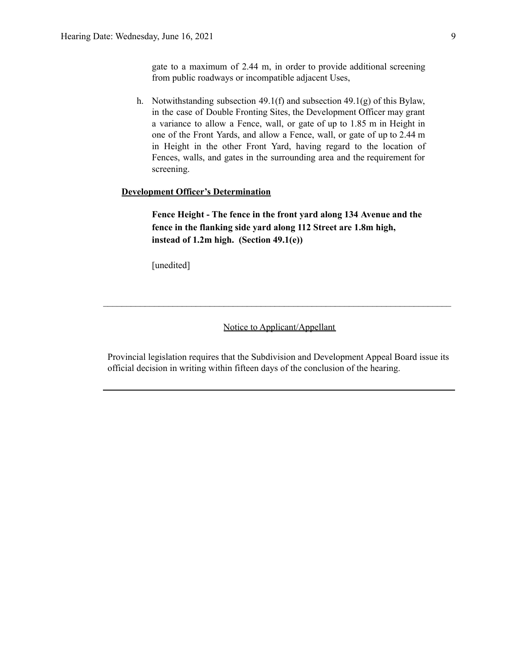gate to a maximum of 2.44 m, in order to provide additional screening from public roadways or incompatible adjacent Uses,

h. Notwithstanding subsection 49.1(f) and subsection 49.1(g) of this Bylaw, in the case of Double Fronting Sites, the Development Officer may grant a variance to allow a Fence, wall, or gate of up to 1.85 m in Height in one of the Front Yards, and allow a Fence, wall, or gate of up to 2.44 m in Height in the other Front Yard, having regard to the location of Fences, walls, and gates in the surrounding area and the requirement for screening.

### **Development Officer's Determination**

**Fence Height - The fence in the front yard along 134 Avenue and the fence in the flanking side yard along 112 Street are 1.8m high, instead of 1.2m high. (Section 49.1(e))**

[unedited]

### Notice to Applicant/Appellant

 $\mathcal{L}_\text{max} = \frac{1}{2} \sum_{i=1}^n \mathcal{L}_\text{max} = \frac{1}{2} \sum_{i=1}^n \mathcal{L}_\text{max} = \frac{1}{2} \sum_{i=1}^n \mathcal{L}_\text{max} = \frac{1}{2} \sum_{i=1}^n \mathcal{L}_\text{max} = \frac{1}{2} \sum_{i=1}^n \mathcal{L}_\text{max} = \frac{1}{2} \sum_{i=1}^n \mathcal{L}_\text{max} = \frac{1}{2} \sum_{i=1}^n \mathcal{L}_\text{max} = \frac{1}{2} \sum_{i=$ 

Provincial legislation requires that the Subdivision and Development Appeal Board issue its official decision in writing within fifteen days of the conclusion of the hearing.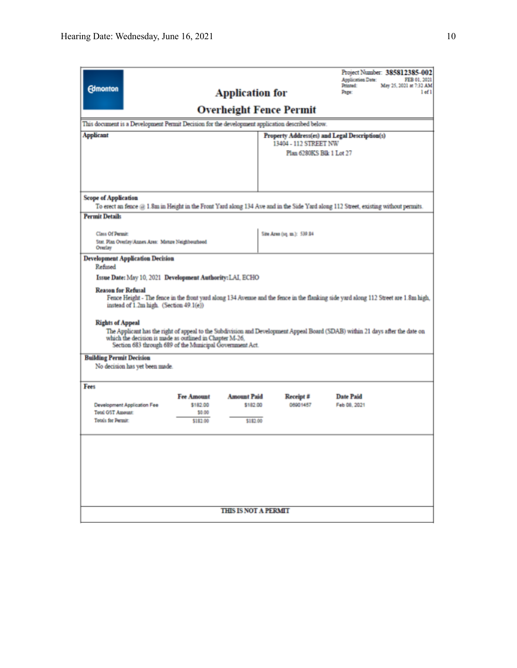| <b>Edmonton</b><br>This document is a Development Permit Decision for the development application described below.<br><b>Applicant</b>                                                                                                                                                                                                                                                                                                                                                                                                                                                                                                      |                                                     | <b>Application for</b>                      | <b>Overheight Fence Permit</b><br>13404 - 112 STREET NW<br>Plan 6280KS Blk 1 Lot 27 | Project Number: 385812385-002<br>Application Date:<br>Printed:<br>May 25, 2021 at 7:32 AM<br>Page:<br>Property Address(es) and Legal Description(s) | FEB 01, 2021<br>$1$ of $1$ |
|---------------------------------------------------------------------------------------------------------------------------------------------------------------------------------------------------------------------------------------------------------------------------------------------------------------------------------------------------------------------------------------------------------------------------------------------------------------------------------------------------------------------------------------------------------------------------------------------------------------------------------------------|-----------------------------------------------------|---------------------------------------------|-------------------------------------------------------------------------------------|-----------------------------------------------------------------------------------------------------------------------------------------------------|----------------------------|
| <b>Scope of Application</b><br><b>Permit Details</b>                                                                                                                                                                                                                                                                                                                                                                                                                                                                                                                                                                                        |                                                     |                                             |                                                                                     | To erect an fence $@1.8m$ in Height in the Front Yard along 134 Ave and in the Side Yard along 112 Street, existing without permits.                |                            |
| Class Of Permit:<br>Stat. Plan Overlay/Annex Area: Mature Neighbourhood<br>Overlay                                                                                                                                                                                                                                                                                                                                                                                                                                                                                                                                                          |                                                     |                                             | Site Area (1q. m.): 539.84                                                          |                                                                                                                                                     |                            |
| Refined<br>Issue Date: May 10, 2021 Development Authority: LAI, ECHO<br><b>Reason for Refusal</b><br>Fence Height - The fence in the front yard along 134 Avenue and the fence in the flanking side yard along 112 Street are 1.8m high,<br>instead of 1.2m high. (Section 49.1(e))<br><b>Rights of Appeal</b><br>The Applicant has the right of appeal to the Subdivision and Development Appeal Board (SDAB) within 21 days after the date on<br>which the decision is made as outlined in Chapter M-26,<br>Section 683 through 689 of the Municipal Government Act.<br><b>Building Permit Decision</b><br>No decision has yet been made. |                                                     |                                             |                                                                                     |                                                                                                                                                     |                            |
| Fees<br>Development Application Fee<br>Total GST Amount:<br><b>Totals for Permit:</b>                                                                                                                                                                                                                                                                                                                                                                                                                                                                                                                                                       | <b>Fee Amount</b><br>\$182.00<br>\$0.00<br>\$182.00 | <b>Amount Paid</b><br>\$182.00<br>\$1\$2.00 | Receipt #<br>06901457                                                               | <b>Date Paid</b><br>Feb 08, 2021                                                                                                                    |                            |
| <b>THIS IS NOT A PERMIT</b>                                                                                                                                                                                                                                                                                                                                                                                                                                                                                                                                                                                                                 |                                                     |                                             |                                                                                     |                                                                                                                                                     |                            |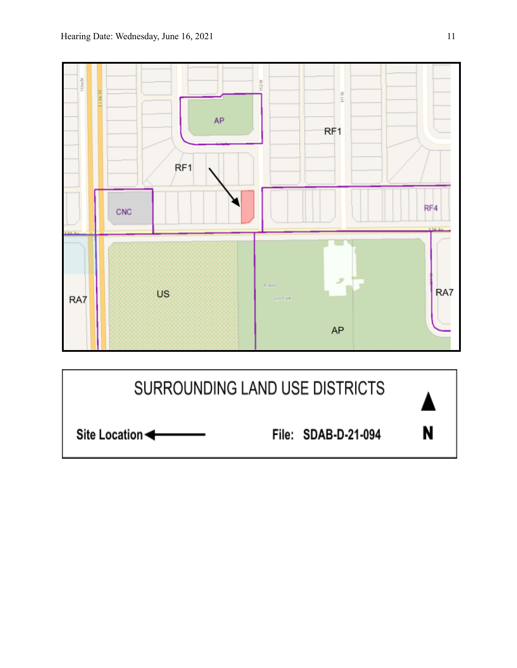

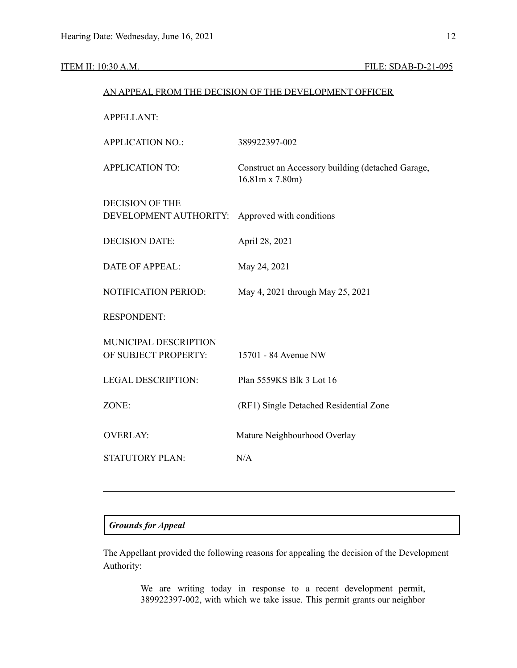### ITEM II: 10:30 A.M. FILE: SDAB-D-21-095

# AN APPEAL FROM THE DECISION OF THE DEVELOPMENT OFFICER APPELLANT: APPLICATION NO.: 389922397-002 APPLICATION TO: Construct an Accessory building (detached Garage, 16.81m x 7.80m) DECISION OF THE DEVELOPMENT AUTHORITY: Approved with conditions DECISION DATE: April 28, 2021 DATE OF APPEAL: May 24, 2021 NOTIFICATION PERIOD: May 4, 2021 through May 25, 2021 RESPONDENT: MUNICIPAL DESCRIPTION OF SUBJECT PROPERTY: 15701 - 84 Avenue NW LEGAL DESCRIPTION: Plan 5559KS Blk 3 Lot 16 ZONE: (RF1) Single Detached Residential Zone OVERLAY: Mature Neighbourhood Overlay

STATUTORY PLAN: N/A

### *Grounds for Appeal*

The Appellant provided the following reasons for appealing the decision of the Development Authority:

> We are writing today in response to a recent development permit, 389922397-002, with which we take issue. This permit grants our neighbor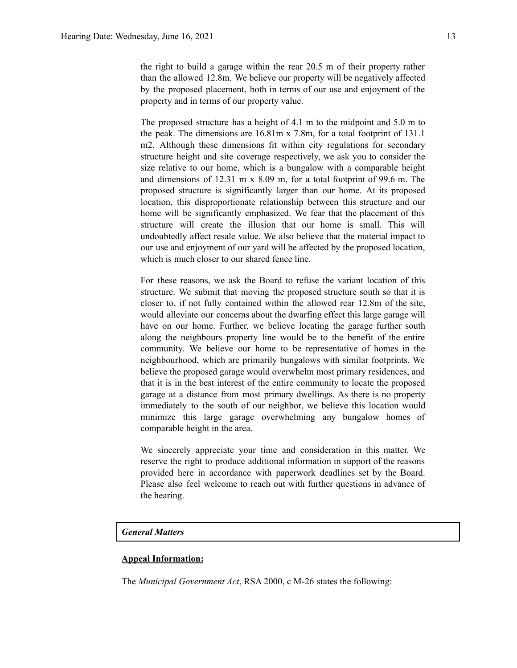The proposed structure has a height of 4.1 m to the midpoint and 5.0 m to the peak. The dimensions are 16.81m x 7.8m, for a total footprint of 131.1 m2. Although these dimensions fit within city regulations for secondary structure height and site coverage respectively, we ask you to consider the size relative to our home, which is a bungalow with a comparable height and dimensions of 12.31 m x 8.09 m, for a total footprint of 99.6 m. The proposed structure is significantly larger than our home. At its proposed location, this disproportionate relationship between this structure and our home will be significantly emphasized. We fear that the placement of this structure will create the illusion that our home is small. This will undoubtedly affect resale value. We also believe that the material impact to our use and enjoyment of our yard will be affected by the proposed location, which is much closer to our shared fence line.

For these reasons, we ask the Board to refuse the variant location of this structure. We submit that moving the proposed structure south so that it is closer to, if not fully contained within the allowed rear 12.8m of the site, would alleviate our concerns about the dwarfing effect this large garage will have on our home. Further, we believe locating the garage further south along the neighbours property line would be to the benefit of the entire community. We believe our home to be representative of homes in the neighbourhood, which are primarily bungalows with similar footprints. We believe the proposed garage would overwhelm most primary residences, and that it is in the best interest of the entire community to locate the proposed garage at a distance from most primary dwellings. As there is no property immediately to the south of our neighbor, we believe this location would minimize this large garage overwhelming any bungalow homes of comparable height in the area.

We sincerely appreciate your time and consideration in this matter. We reserve the right to produce additional information in support of the reasons provided here in accordance with paperwork deadlines set by the Board. Please also feel welcome to reach out with further questions in advance of the hearing.

### *General Matters*

### **Appeal Information:**

The *Municipal Government Act*, RSA 2000, c M-26 states the following: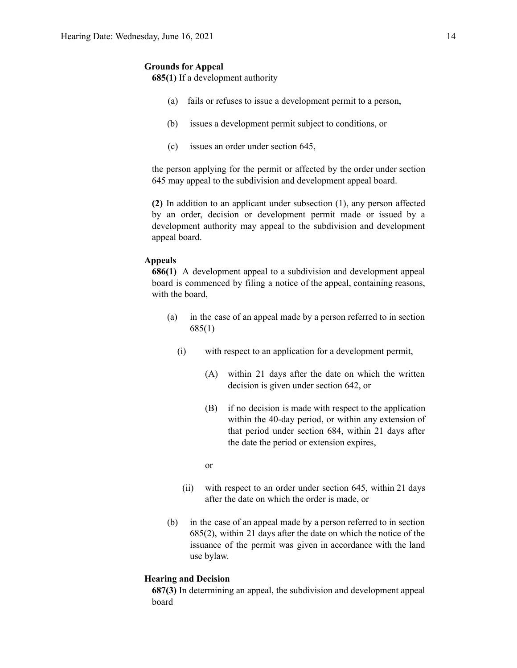### **Grounds for Appeal**

**685(1)** If a development authority

- (a) fails or refuses to issue a development permit to a person,
- (b) issues a development permit subject to conditions, or
- (c) issues an order under section 645,

the person applying for the permit or affected by the order under section 645 may appeal to the subdivision and development appeal board.

**(2)** In addition to an applicant under subsection (1), any person affected by an order, decision or development permit made or issued by a development authority may appeal to the subdivision and development appeal board.

### **Appeals**

**686(1)** A development appeal to a subdivision and development appeal board is commenced by filing a notice of the appeal, containing reasons, with the board,

- (a) in the case of an appeal made by a person referred to in section 685(1)
	- (i) with respect to an application for a development permit,
		- (A) within 21 days after the date on which the written decision is given under section 642, or
		- (B) if no decision is made with respect to the application within the 40-day period, or within any extension of that period under section 684, within 21 days after the date the period or extension expires,

or

- (ii) with respect to an order under section 645, within 21 days after the date on which the order is made, or
- (b) in the case of an appeal made by a person referred to in section 685(2), within 21 days after the date on which the notice of the issuance of the permit was given in accordance with the land use bylaw.

### **Hearing and Decision**

**687(3)** In determining an appeal, the subdivision and development appeal board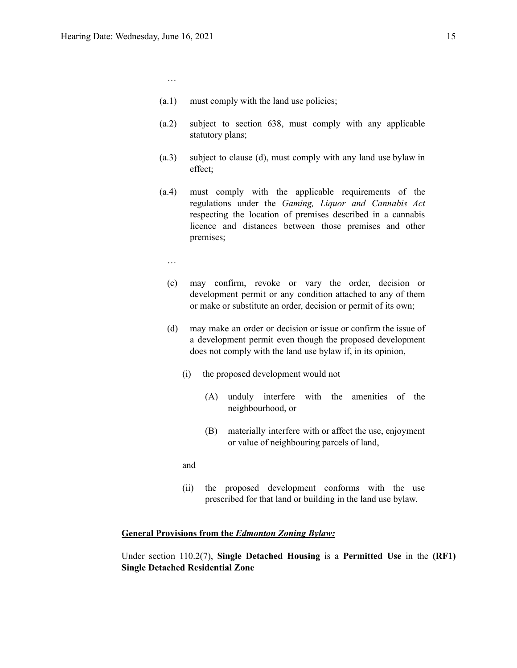- (a.1) must comply with the land use policies;
- (a.2) subject to section 638, must comply with any applicable statutory plans;
- (a.3) subject to clause (d), must comply with any land use bylaw in effect;
- (a.4) must comply with the applicable requirements of the regulations under the *Gaming, Liquor and Cannabis Act* respecting the location of premises described in a cannabis licence and distances between those premises and other premises;
	- …

…

- (c) may confirm, revoke or vary the order, decision or development permit or any condition attached to any of them or make or substitute an order, decision or permit of its own;
- (d) may make an order or decision or issue or confirm the issue of a development permit even though the proposed development does not comply with the land use bylaw if, in its opinion,
	- (i) the proposed development would not
		- (A) unduly interfere with the amenities of the neighbourhood, or
		- (B) materially interfere with or affect the use, enjoyment or value of neighbouring parcels of land,
	- and
	- (ii) the proposed development conforms with the use prescribed for that land or building in the land use bylaw.

### **General Provisions from the** *Edmonton Zoning Bylaw:*

Under section 110.2(7), **Single Detached Housing** is a **Permitted Use** in the **(RF1) Single Detached Residential Zone**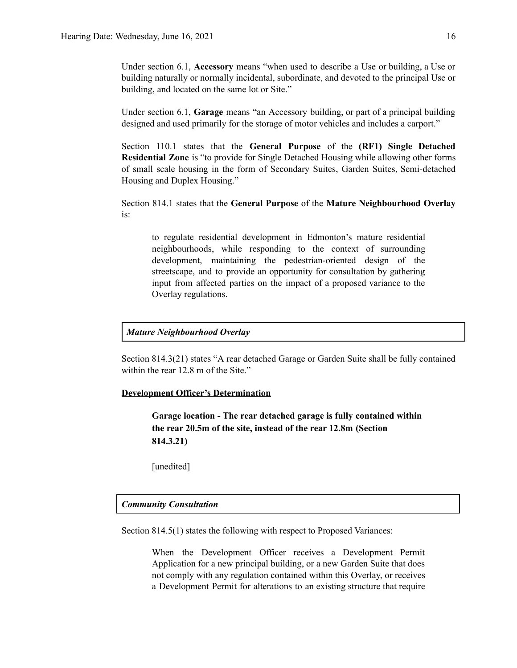Under section 6.1, **Accessory** means "when used to describe a Use or building, a Use or building naturally or normally incidental, subordinate, and devoted to the principal Use or building, and located on the same lot or Site."

Under section 6.1, **Garage** means "an Accessory building, or part of a principal building designed and used primarily for the storage of motor vehicles and includes a carport."

Section 110.1 states that the **General Purpose** of the **(RF1) Single Detached Residential Zone** is "to provide for Single Detached Housing while allowing other forms of small scale housing in the form of Secondary Suites, Garden Suites, Semi-detached Housing and Duplex Housing."

Section 814.1 states that the **General Purpose** of the **Mature Neighbourhood Overlay** is:

to regulate residential development in Edmonton's mature residential neighbourhoods, while responding to the context of surrounding development, maintaining the pedestrian-oriented design of the streetscape, and to provide an opportunity for consultation by gathering input from affected parties on the impact of a proposed variance to the Overlay regulations.

### *Mature Neighbourhood Overlay*

Section 814.3(21) states "A rear detached Garage or Garden Suite shall be fully contained within the rear 12.8 m of the Site."

### **Development Officer's Determination**

**Garage location - The rear detached garage is fully contained within the rear 20.5m of the site, instead of the rear 12.8m (Section 814.3.21)**

[unedited]

### *Community Consultation*

Section 814.5(1) states the following with respect to Proposed Variances:

When the Development Officer receives a Development Permit Application for a new principal building, or a new Garden Suite that does not comply with any regulation contained within this Overlay, or receives a Development Permit for alterations to an existing structure that require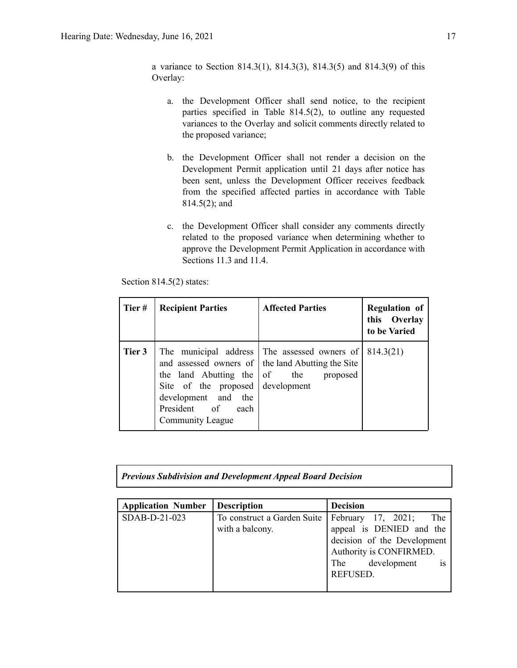a variance to Section 814.3(1), 814.3(3), 814.3(5) and 814.3(9) of this Overlay:

- a. the Development Officer shall send notice, to the recipient parties specified in Table 814.5(2), to outline any requested variances to the Overlay and solicit comments directly related to the proposed variance;
- b. the Development Officer shall not render a decision on the Development Permit application until 21 days after notice has been sent, unless the Development Officer receives feedback from the specified affected parties in accordance with Table 814.5(2); and
- c. the Development Officer shall consider any comments directly related to the proposed variance when determining whether to approve the Development Permit Application in accordance with Sections 11.3 and 11.4.

Section 814.5(2) states:

| Tier#  | <b>Recipient Parties</b>                                                                                                   | <b>Affected Parties</b>                                                                                                                   | <b>Regulation of</b><br>this Overlay<br>to be Varied |
|--------|----------------------------------------------------------------------------------------------------------------------------|-------------------------------------------------------------------------------------------------------------------------------------------|------------------------------------------------------|
| Tier 3 | the land Abutting the<br>Site of the proposed<br>development and<br>the<br>President of<br>each<br><b>Community League</b> | The municipal address The assessed owners of<br>and assessed owners of the land Abutting the Site<br>of<br>the<br>proposed<br>development | 814.3(21)                                            |

|  | <b>Previous Subdivision and Development Appeal Board Decision</b> |
|--|-------------------------------------------------------------------|
|--|-------------------------------------------------------------------|

| <b>Application Number</b> | <b>Description</b>                             | <b>Decision</b>                                                                                                                                       |
|---------------------------|------------------------------------------------|-------------------------------------------------------------------------------------------------------------------------------------------------------|
| SDAB-D-21-023             | To construct a Garden Suite<br>with a balcony. | February 17, 2021;<br>The<br>appeal is DENIED and the<br>decision of the Development<br>Authority is CONFIRMED.<br>The development<br><b>REFUSED.</b> |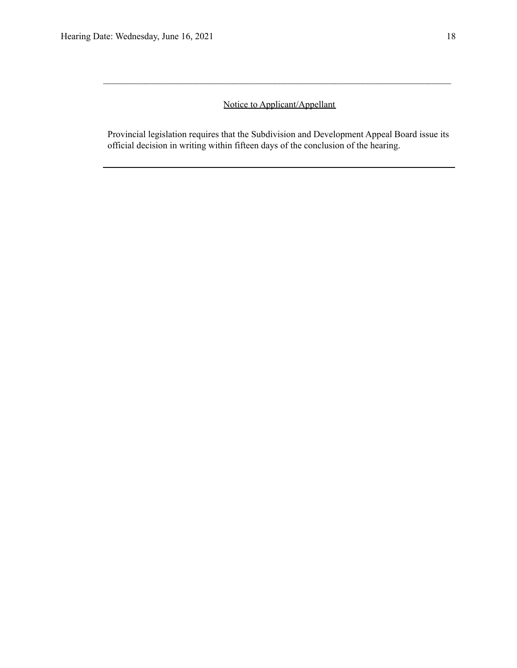# Notice to Applicant/Appellant

 $\mathcal{L}_\text{max} = \frac{1}{2} \sum_{i=1}^n \mathcal{L}_\text{max} = \frac{1}{2} \sum_{i=1}^n \mathcal{L}_\text{max} = \frac{1}{2} \sum_{i=1}^n \mathcal{L}_\text{max} = \frac{1}{2} \sum_{i=1}^n \mathcal{L}_\text{max} = \frac{1}{2} \sum_{i=1}^n \mathcal{L}_\text{max} = \frac{1}{2} \sum_{i=1}^n \mathcal{L}_\text{max} = \frac{1}{2} \sum_{i=1}^n \mathcal{L}_\text{max} = \frac{1}{2} \sum_{i=$ 

Provincial legislation requires that the Subdivision and Development Appeal Board issue its official decision in writing within fifteen days of the conclusion of the hearing.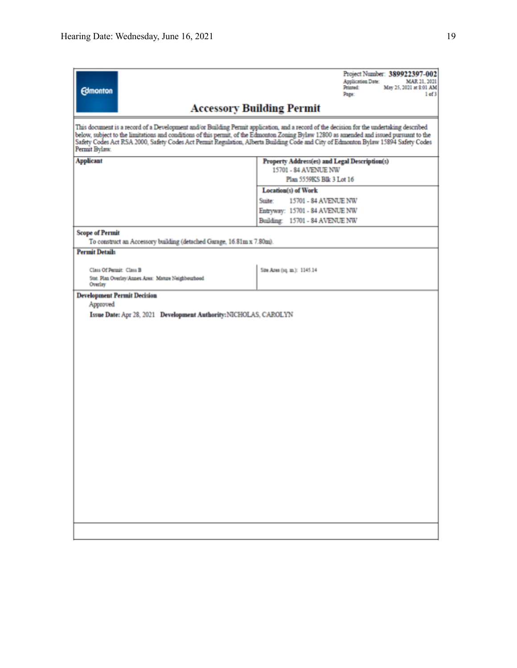| <b>Edmonton</b>                                                                                                                                                                                                                                                                                                                                                                                                                               | Project Number: 389922397-002<br>Application Date:<br>MAR 21, 2021<br>Printed:<br>May 25, 2021 at \$:01 AM<br>Page:<br>1 of 3 |  |  |  |
|-----------------------------------------------------------------------------------------------------------------------------------------------------------------------------------------------------------------------------------------------------------------------------------------------------------------------------------------------------------------------------------------------------------------------------------------------|-------------------------------------------------------------------------------------------------------------------------------|--|--|--|
|                                                                                                                                                                                                                                                                                                                                                                                                                                               | <b>Accessory Building Permit</b>                                                                                              |  |  |  |
| This document is a record of a Development and/or Building Permit application, and a record of the decision for the undertaking described<br>below, subject to the limitations and conditions of this permit, of the Edmonton Zoning Bylaw 12800 as amended and issued pursuant to the<br>Safety Codes Act RSA 2000, Safety Codes Act Permit Regulation, Alberta Building Code and City of Edmonton Bylaw 15894 Safety Codes<br>Permit Bylaw. |                                                                                                                               |  |  |  |
| <b>Applicant</b>                                                                                                                                                                                                                                                                                                                                                                                                                              | Property Address(es) and Legal Description(s)                                                                                 |  |  |  |
|                                                                                                                                                                                                                                                                                                                                                                                                                                               | 15701 - 84 AVENUE NW                                                                                                          |  |  |  |
|                                                                                                                                                                                                                                                                                                                                                                                                                                               | Plan 5559KS Blk 3 Lot 16                                                                                                      |  |  |  |
|                                                                                                                                                                                                                                                                                                                                                                                                                                               | Location(s) of Work<br>Suite:<br>15701 - 84 AVENUE NW                                                                         |  |  |  |
|                                                                                                                                                                                                                                                                                                                                                                                                                                               | Entryway: 15701 - 84 AVENUE NW                                                                                                |  |  |  |
|                                                                                                                                                                                                                                                                                                                                                                                                                                               | Building: 15701 - 84 AVENUE NW                                                                                                |  |  |  |
| <b>Scope of Permit</b>                                                                                                                                                                                                                                                                                                                                                                                                                        |                                                                                                                               |  |  |  |
| To construct an Accessory building (detached Garage, 16.81m x 7.80m).                                                                                                                                                                                                                                                                                                                                                                         |                                                                                                                               |  |  |  |
| <b>Permit Details</b>                                                                                                                                                                                                                                                                                                                                                                                                                         |                                                                                                                               |  |  |  |
|                                                                                                                                                                                                                                                                                                                                                                                                                                               |                                                                                                                               |  |  |  |
| Class Of Permit: Class B<br>Stat. Plan Overlay/Annes Area: Manue Neighbourhood                                                                                                                                                                                                                                                                                                                                                                | Site Area (sq. m.): 1145.14                                                                                                   |  |  |  |
| Overlay                                                                                                                                                                                                                                                                                                                                                                                                                                       |                                                                                                                               |  |  |  |
| <b>Development Permit Decision</b>                                                                                                                                                                                                                                                                                                                                                                                                            |                                                                                                                               |  |  |  |
| Approved                                                                                                                                                                                                                                                                                                                                                                                                                                      |                                                                                                                               |  |  |  |
| Issue Date: Apr 28, 2021 Development Authority: NICHOLAS, CAROLYN                                                                                                                                                                                                                                                                                                                                                                             |                                                                                                                               |  |  |  |
|                                                                                                                                                                                                                                                                                                                                                                                                                                               |                                                                                                                               |  |  |  |
|                                                                                                                                                                                                                                                                                                                                                                                                                                               |                                                                                                                               |  |  |  |
|                                                                                                                                                                                                                                                                                                                                                                                                                                               |                                                                                                                               |  |  |  |
|                                                                                                                                                                                                                                                                                                                                                                                                                                               |                                                                                                                               |  |  |  |
|                                                                                                                                                                                                                                                                                                                                                                                                                                               |                                                                                                                               |  |  |  |
|                                                                                                                                                                                                                                                                                                                                                                                                                                               |                                                                                                                               |  |  |  |
|                                                                                                                                                                                                                                                                                                                                                                                                                                               |                                                                                                                               |  |  |  |
|                                                                                                                                                                                                                                                                                                                                                                                                                                               |                                                                                                                               |  |  |  |
|                                                                                                                                                                                                                                                                                                                                                                                                                                               |                                                                                                                               |  |  |  |
|                                                                                                                                                                                                                                                                                                                                                                                                                                               |                                                                                                                               |  |  |  |
|                                                                                                                                                                                                                                                                                                                                                                                                                                               |                                                                                                                               |  |  |  |
|                                                                                                                                                                                                                                                                                                                                                                                                                                               |                                                                                                                               |  |  |  |
|                                                                                                                                                                                                                                                                                                                                                                                                                                               |                                                                                                                               |  |  |  |
|                                                                                                                                                                                                                                                                                                                                                                                                                                               |                                                                                                                               |  |  |  |
|                                                                                                                                                                                                                                                                                                                                                                                                                                               |                                                                                                                               |  |  |  |
|                                                                                                                                                                                                                                                                                                                                                                                                                                               |                                                                                                                               |  |  |  |
|                                                                                                                                                                                                                                                                                                                                                                                                                                               |                                                                                                                               |  |  |  |
|                                                                                                                                                                                                                                                                                                                                                                                                                                               |                                                                                                                               |  |  |  |
|                                                                                                                                                                                                                                                                                                                                                                                                                                               |                                                                                                                               |  |  |  |
|                                                                                                                                                                                                                                                                                                                                                                                                                                               |                                                                                                                               |  |  |  |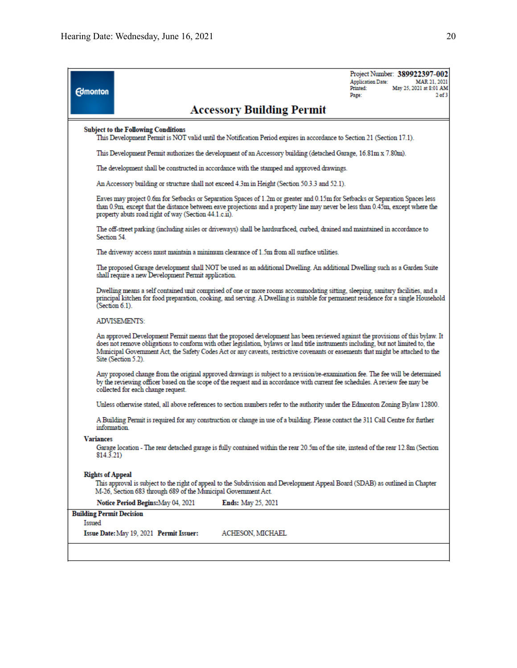| <b>Edmonton</b>                           |                                                                                                                                                                                                                                                                                                                                                                                                                               | <b>Accessory Building Permit</b>                                                                                                                                                                                                                                | <b>Application Date:</b><br>Printed:<br>Page: | Project Number: 389922397-002<br>MAR 21, 2021<br>May 25, 2021 at 8:01 AM<br>2 <sub>of</sub> 3 |  |
|-------------------------------------------|-------------------------------------------------------------------------------------------------------------------------------------------------------------------------------------------------------------------------------------------------------------------------------------------------------------------------------------------------------------------------------------------------------------------------------|-----------------------------------------------------------------------------------------------------------------------------------------------------------------------------------------------------------------------------------------------------------------|-----------------------------------------------|-----------------------------------------------------------------------------------------------|--|
|                                           | <b>Subject to the Following Conditions</b>                                                                                                                                                                                                                                                                                                                                                                                    | This Development Permit is NOT valid until the Notification Period expires in accordance to Section 21 (Section 17.1).                                                                                                                                          |                                               |                                                                                               |  |
|                                           |                                                                                                                                                                                                                                                                                                                                                                                                                               | This Development Permit authorizes the development of an Accessory building (detached Garage, 16.81m x 7.80m).                                                                                                                                                  |                                               |                                                                                               |  |
|                                           |                                                                                                                                                                                                                                                                                                                                                                                                                               | The development shall be constructed in accordance with the stamped and approved drawings.                                                                                                                                                                      |                                               |                                                                                               |  |
|                                           |                                                                                                                                                                                                                                                                                                                                                                                                                               | An Accessory building or structure shall not exceed 4.3m in Height (Section 50.3.3 and 52.1).                                                                                                                                                                   |                                               |                                                                                               |  |
|                                           | property abuts road right of way (Section 44.1.c.ii).                                                                                                                                                                                                                                                                                                                                                                         | Eaves may project 0.6m for Setbacks or Separation Spaces of 1.2m or greater and 0.15m for Setbacks or Separation Spaces less<br>than 0.9m, except that the distance between eave projections and a property line may never be less than 0.45m, except where the |                                               |                                                                                               |  |
| Section 54.                               |                                                                                                                                                                                                                                                                                                                                                                                                                               | The off-street parking (including aisles or driveways) shall be hardsurfaced, curbed, drained and maintained in accordance to                                                                                                                                   |                                               |                                                                                               |  |
|                                           |                                                                                                                                                                                                                                                                                                                                                                                                                               | The driveway access must maintain a minimum clearance of 1.5m from all surface utilities.                                                                                                                                                                       |                                               |                                                                                               |  |
|                                           | shall require a new Development Permit application.                                                                                                                                                                                                                                                                                                                                                                           | The proposed Garage development shall NOT be used as an additional Dwelling. An additional Dwelling such as a Garden Suite                                                                                                                                      |                                               |                                                                                               |  |
|                                           | Dwelling means a self contained unit comprised of one or more rooms accommodating sitting, sleeping, sanitary facilities, and a<br>principal kitchen for food preparation, cooking, and serving. A Dwelling is suitable for permanent residence for a single Household<br>(Section 6.1).                                                                                                                                      |                                                                                                                                                                                                                                                                 |                                               |                                                                                               |  |
|                                           | ADVISEMENTS:                                                                                                                                                                                                                                                                                                                                                                                                                  |                                                                                                                                                                                                                                                                 |                                               |                                                                                               |  |
|                                           | An approved Development Permit means that the proposed development has been reviewed against the provisions of this bylaw. It<br>does not remove obligations to conform with other legislation, bylaws or land title instruments including, but not limited to, the<br>Municipal Government Act, the Safety Codes Act or any caveats, restrictive covenants or easements that might be attached to the<br>Site (Section 5.2). |                                                                                                                                                                                                                                                                 |                                               |                                                                                               |  |
|                                           | Any proposed change from the original approved drawings is subject to a revision/re-examination fee. The fee will be determined<br>by the reviewing officer based on the scope of the request and in accordance with current fee schedules. A review fee may be<br>collected for each change request.                                                                                                                         |                                                                                                                                                                                                                                                                 |                                               |                                                                                               |  |
|                                           | Unless otherwise stated, all above references to section numbers refer to the authority under the Edmonton Zoning Bylaw 12800.                                                                                                                                                                                                                                                                                                |                                                                                                                                                                                                                                                                 |                                               |                                                                                               |  |
|                                           | A Building Permit is required for any construction or change in use of a building. Please contact the 311 Call Centre for further<br>information                                                                                                                                                                                                                                                                              |                                                                                                                                                                                                                                                                 |                                               |                                                                                               |  |
| <b>Variances</b><br>814.3.21)             |                                                                                                                                                                                                                                                                                                                                                                                                                               | Garage location - The rear detached garage is fully contained within the rear 20.5m of the site, instead of the rear 12.8m (Section                                                                                                                             |                                               |                                                                                               |  |
| <b>Rights of Appeal</b>                   | M-26, Section 683 through 689 of the Municipal Government Act.                                                                                                                                                                                                                                                                                                                                                                | This approval is subject to the right of appeal to the Subdivision and Development Appeal Board (SDAB) as outlined in Chapter                                                                                                                                   |                                               |                                                                                               |  |
|                                           | Notice Period Begins: May 04, 2021                                                                                                                                                                                                                                                                                                                                                                                            | <b>Ends:</b> May 25, 2021                                                                                                                                                                                                                                       |                                               |                                                                                               |  |
| <b>Building Permit Decision</b><br>Issued | <b>Issue Date:</b> May 19, 2021 Permit Issuer:                                                                                                                                                                                                                                                                                                                                                                                | ACHESON, MICHAEL                                                                                                                                                                                                                                                |                                               |                                                                                               |  |
|                                           |                                                                                                                                                                                                                                                                                                                                                                                                                               |                                                                                                                                                                                                                                                                 |                                               |                                                                                               |  |
|                                           |                                                                                                                                                                                                                                                                                                                                                                                                                               |                                                                                                                                                                                                                                                                 |                                               |                                                                                               |  |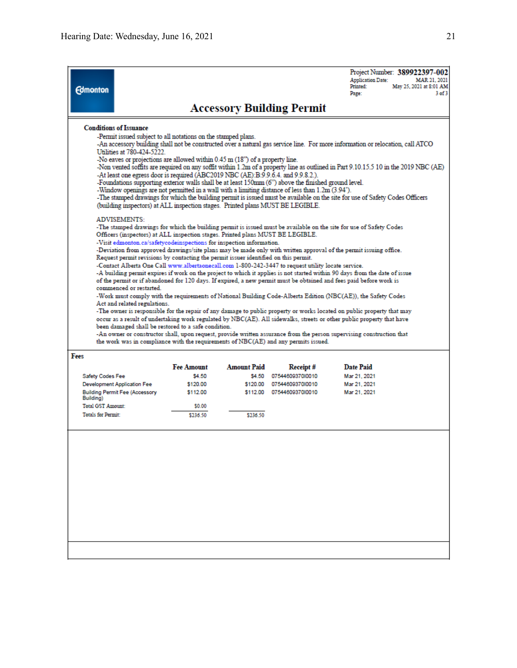| <b>Edmonton</b>                                                                                                                                                                                                                                                                                                                                                                                                                                                                                                                                                                                                                                                                                                                                                                                                                                                                                                                                                                                                                                                                                                                                                                                                                                                                                                                                                                                                                                                                                                                                                                                                                                                                                                                                                                                                                                                                                                                                                                                                                                                                                                                                                                                                                                                                                                                                                                                          |                                       |                    |                    |                                                                                     | Project Number: 389922397-002<br><b>Application Date:</b><br>MAR 21, 2021<br>Printed:<br>May 25, 2021 at 8:01 AM<br>3 of 3<br>Page: |
|----------------------------------------------------------------------------------------------------------------------------------------------------------------------------------------------------------------------------------------------------------------------------------------------------------------------------------------------------------------------------------------------------------------------------------------------------------------------------------------------------------------------------------------------------------------------------------------------------------------------------------------------------------------------------------------------------------------------------------------------------------------------------------------------------------------------------------------------------------------------------------------------------------------------------------------------------------------------------------------------------------------------------------------------------------------------------------------------------------------------------------------------------------------------------------------------------------------------------------------------------------------------------------------------------------------------------------------------------------------------------------------------------------------------------------------------------------------------------------------------------------------------------------------------------------------------------------------------------------------------------------------------------------------------------------------------------------------------------------------------------------------------------------------------------------------------------------------------------------------------------------------------------------------------------------------------------------------------------------------------------------------------------------------------------------------------------------------------------------------------------------------------------------------------------------------------------------------------------------------------------------------------------------------------------------------------------------------------------------------------------------------------------------|---------------------------------------|--------------------|--------------------|-------------------------------------------------------------------------------------|-------------------------------------------------------------------------------------------------------------------------------------|
|                                                                                                                                                                                                                                                                                                                                                                                                                                                                                                                                                                                                                                                                                                                                                                                                                                                                                                                                                                                                                                                                                                                                                                                                                                                                                                                                                                                                                                                                                                                                                                                                                                                                                                                                                                                                                                                                                                                                                                                                                                                                                                                                                                                                                                                                                                                                                                                                          |                                       |                    |                    |                                                                                     |                                                                                                                                     |
| <b>Accessory Building Permit</b><br><b>Conditions of Issuance</b><br>-Permit issued subject to all notations on the stamped plans.<br>-An accessory building shall not be constructed over a natural gas service line. For more information or relocation, call ATCO<br>Utilities at 780-424-5222.<br>No eaves or projections are allowed within 0.45 m (18") of a property line.<br>-Non vented soffits are required on any soffit within 1.2m of a property line as outlined in Part 9.10.15.5 10 in the 2019 NBC (AE)<br>-At least one egress door is required (ABC2019 NBC (AE):B:9.9.6.4. and 9.9.8.2.).<br>-Foundations supporting exterior walls shall be at least 150mm (6") above the finished ground level.<br>-Window openings are not permitted in a wall with a limiting distance of less than 1.2m (3.94").<br>-The stamped drawings for which the building permit is issued must be available on the site for use of Safety Codes Officers<br>(building inspectors) at ALL inspection stages. Printed plans MUST BE LEGIBLE.<br>ADVISEMENTS:<br>-The stamped drawings for which the building permit is issued must be available on the site for use of Safety Codes<br>Officers (inspectors) at ALL inspection stages. Printed plans MUST BE LEGIBLE.<br>-Visit edmonton.ca/safetycodeinspections for inspection information.<br>-Deviation from approved drawings/site plans may be made only with written approval of the permit issuing office.<br>Request permit revisions by contacting the permit issuer identified on this permit.<br>-Contact Alberta One Call www.albertaonecall.com 1-800-242-3447 to request utility locate service.<br>-A building permit expires if work on the project to which it applies is not started within 90 days from the date of issue<br>of the permit or if abandoned for 120 days. If expired, a new permit must be obtained and fees paid before work is<br>commenced or restarted.<br>-Work must comply with the requirements of National Building Code-Alberta Edition (NBC(AE)), the Safety Codes<br>Act and related regulations.<br>-The owner is responsible for the repair of any damage to public property or works located on public property that may<br>occur as a result of undertaking work regulated by NBC(AE). All sidewalks, streets or other public property that have<br>been damaged shall be restored to a safe condition. |                                       |                    |                    |                                                                                     |                                                                                                                                     |
| Fees                                                                                                                                                                                                                                                                                                                                                                                                                                                                                                                                                                                                                                                                                                                                                                                                                                                                                                                                                                                                                                                                                                                                                                                                                                                                                                                                                                                                                                                                                                                                                                                                                                                                                                                                                                                                                                                                                                                                                                                                                                                                                                                                                                                                                                                                                                                                                                                                     |                                       |                    |                    | the work was in compliance with the requirements of NBC(AE) and any permits issued. |                                                                                                                                     |
|                                                                                                                                                                                                                                                                                                                                                                                                                                                                                                                                                                                                                                                                                                                                                                                                                                                                                                                                                                                                                                                                                                                                                                                                                                                                                                                                                                                                                                                                                                                                                                                                                                                                                                                                                                                                                                                                                                                                                                                                                                                                                                                                                                                                                                                                                                                                                                                                          |                                       | <b>Fee Amount</b>  | <b>Amount Paid</b> | Receipt#                                                                            | <b>Date Paid</b>                                                                                                                    |
| Safety Codes Fee                                                                                                                                                                                                                                                                                                                                                                                                                                                                                                                                                                                                                                                                                                                                                                                                                                                                                                                                                                                                                                                                                                                                                                                                                                                                                                                                                                                                                                                                                                                                                                                                                                                                                                                                                                                                                                                                                                                                                                                                                                                                                                                                                                                                                                                                                                                                                                                         |                                       | \$4.50             | S4.50              | 0754460937010010                                                                    | Mar 21, 2021                                                                                                                        |
|                                                                                                                                                                                                                                                                                                                                                                                                                                                                                                                                                                                                                                                                                                                                                                                                                                                                                                                                                                                                                                                                                                                                                                                                                                                                                                                                                                                                                                                                                                                                                                                                                                                                                                                                                                                                                                                                                                                                                                                                                                                                                                                                                                                                                                                                                                                                                                                                          | <b>Development Application Fee</b>    | \$120.00           | \$120.00           | 0754460937010010                                                                    | Mar 21, 2021                                                                                                                        |
| Building)                                                                                                                                                                                                                                                                                                                                                                                                                                                                                                                                                                                                                                                                                                                                                                                                                                                                                                                                                                                                                                                                                                                                                                                                                                                                                                                                                                                                                                                                                                                                                                                                                                                                                                                                                                                                                                                                                                                                                                                                                                                                                                                                                                                                                                                                                                                                                                                                | <b>Building Permit Fee (Accessory</b> | \$112.00           |                    | \$112.00 0754460937010010                                                           | Mar 21, 2021                                                                                                                        |
| <b>Total GST Amount:</b><br><b>Totals for Permit:</b>                                                                                                                                                                                                                                                                                                                                                                                                                                                                                                                                                                                                                                                                                                                                                                                                                                                                                                                                                                                                                                                                                                                                                                                                                                                                                                                                                                                                                                                                                                                                                                                                                                                                                                                                                                                                                                                                                                                                                                                                                                                                                                                                                                                                                                                                                                                                                    |                                       | \$0.00<br>\$236.50 | \$236.50           |                                                                                     |                                                                                                                                     |
|                                                                                                                                                                                                                                                                                                                                                                                                                                                                                                                                                                                                                                                                                                                                                                                                                                                                                                                                                                                                                                                                                                                                                                                                                                                                                                                                                                                                                                                                                                                                                                                                                                                                                                                                                                                                                                                                                                                                                                                                                                                                                                                                                                                                                                                                                                                                                                                                          |                                       |                    |                    |                                                                                     |                                                                                                                                     |
|                                                                                                                                                                                                                                                                                                                                                                                                                                                                                                                                                                                                                                                                                                                                                                                                                                                                                                                                                                                                                                                                                                                                                                                                                                                                                                                                                                                                                                                                                                                                                                                                                                                                                                                                                                                                                                                                                                                                                                                                                                                                                                                                                                                                                                                                                                                                                                                                          |                                       |                    |                    |                                                                                     |                                                                                                                                     |